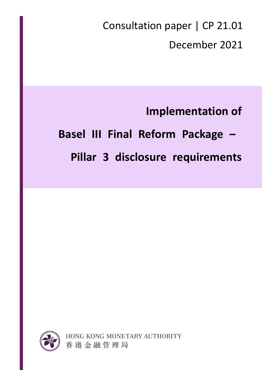Consultation paper | CP 21.01 December 2021

**Implementation of Basel III Final Reform Package –**

**Pillar 3 disclosure requirements**

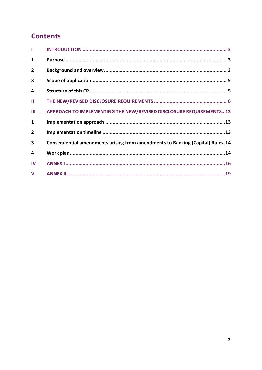# **Contents**

| 1              |                                                                                |
|----------------|--------------------------------------------------------------------------------|
| $\overline{2}$ |                                                                                |
| 3              |                                                                                |
| 4              |                                                                                |
| Ш              |                                                                                |
| Ш              | APPROACH TO IMPLEMENTING THE NEW/REVISED DISCLOSURE REQUIREMENTS 13            |
| 1              |                                                                                |
| $\overline{2}$ |                                                                                |
| 3              | Consequential amendments arising from amendments to Banking (Capital) Rules.14 |
| 4              |                                                                                |
| IV             |                                                                                |
| $\mathbf v$    |                                                                                |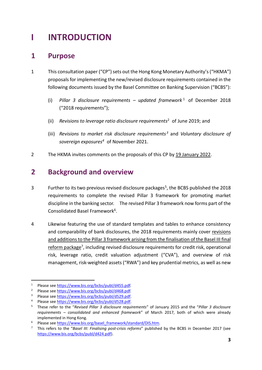# <span id="page-2-0"></span>**I INTRODUCTION**

## <span id="page-2-1"></span>**1 Purpose**

- 1 This consultation paper ("CP") sets out the Hong Kong Monetary Authority's ("HKMA") proposalsfor implementing the new/revised disclosure requirements contained in the following documents issued by the Basel Committee on Banking Supervision ("BCBS"):
	- (i) Pillar 3 disclosure requirements updated framework<sup>1</sup> of December 2018 ("2018 requirements");
	- (ii) *Revisions to leverage ratio disclosure requirements*<sup>2</sup> of June 2019; and
	- (iii) *Revisions to market risk disclosure requirements <sup>3</sup>* and *Voluntary disclosure of sovereign exposures<sup>4</sup>* of November 2021.
- 2 The HKMA invites comments on the proposals of this CP by 19 January 2022.

## <span id="page-2-2"></span>**2 Background and overview**

- 3 Further to its two previous revised disclosure packages<sup>5</sup>, the BCBS published the 2018 requirements to complete the revised Pillar 3 framework for promoting market discipline in the banking sector. The revised Pillar 3 framework now forms part of the Consolidated Basel Framework<sup>6</sup>.
- 4 Likewise featuring the use of standard templates and tables to enhance consistency and comparability of bank disclosures, the 2018 requirements mainly cover revisions and additions to the Pillar 3 framework arising from the finalisation of the Basel III final reform package<sup>7</sup>, including revised disclosure requirements for credit risk, operational risk, leverage ratio, credit valuation adjustment ("CVA"), and overview of risk management, risk-weighted assets ("RWA") and key prudential metrics, as well as new

 $\overline{a}$ 

<sup>1</sup> Please se[e https://www.bis.org/bcbs/publ/d455.pdf.](https://www.bis.org/bcbs/publ/d455.pdf)

<sup>2</sup> Please se[e https://www.bis.org/bcbs/publ/d468.pdf.](https://www.bis.org/bcbs/publ/d468.pdf)

<sup>&</sup>lt;sup>3</sup> Please se[e https://www.bis.org/bcbs/publ/d529.pdf](https://www.bis.org/bcbs/publ/d529.pdf).<br><sup>4</sup> Please see https://www.bis.org/bcbs/publ/d528.pdf

Please se[e https://www.bis.org/bcbs/publ/d528.pdf](https://www.bis.org/bcbs/publ/d528.pdf).

<sup>5</sup> These refer to the "*Revised Pillar 3 disclosure requirements*" of January 2015 and the "*Pillar 3 disclosure requirements – consolidated and enhanced framework*" of March 2017, both of which were already implemented in Hong Kong.

Please se[e https://www.bis.org/basel\\_framework/standard/DIS.htm](https://www.bis.org/basel_framework/standard/DIS.htm).

<sup>7</sup> This refers to the "*Basel III: Finalising post-crisis reforms*" published by the BCBS in December 2017 (see [https://www.bis.org/bcbs/publ/d424.pdf\)](https://www.bis.org/bcbs/publ/d424.pdf).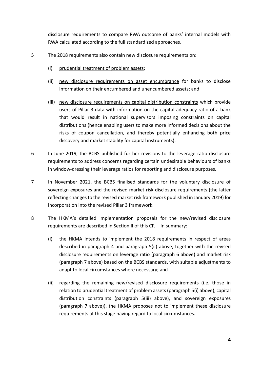disclosure requirements to compare RWA outcome of banks' internal models with RWA calculated according to the full standardized approaches.

- 5 The 2018 requirements also contain new disclosure requirements on:
	- (i) prudential treatment of problem assets;
	- (ii) new disclosure requirements on asset encumbrance for banks to disclose information on their encumbered and unencumbered assets; and
	- (iii) new disclosure requirements on capital distribution constraints which provide users of Pillar 3 data with information on the capital adequacy ratio of a bank that would result in national supervisors imposing constraints on capital distributions (hence enabling users to make more informed decisions about the risks of coupon cancellation, and thereby potentially enhancing both price discovery and market stability for capital instruments).
- 6 In June 2019, the BCBS published further revisions to the leverage ratio disclosure requirements to address concerns regarding certain undesirable behaviours of banks in window-dressing their leverage ratios for reporting and disclosure purposes.
- 7 In November 2021, the BCBS finalised standards for the voluntary disclosure of sovereign exposures and the revised market risk disclosure requirements (the latter reflecting changes to the revised market risk framework published in January 2019) for incorporation into the revised Pillar 3 framework.
- 8 The HKMA's detailed implementation proposals for the new/revised disclosure requirements are described in Section II of this CP. In summary:
	- (i) the HKMA intends to implement the 2018 requirements in respect of areas described in paragraph 4 and paragraph 5(ii) above, together with the revised disclosure requirements on leverage ratio (paragraph 6 above) and market risk (paragraph 7 above) based on the BCBS standards, with suitable adjustments to adapt to local circumstances where necessary; and
	- (ii) regarding the remaining new/revised disclosure requirements (i.e. those in relation to prudential treatment of problem assets(paragraph 5(i) above), capital distribution constraints (paragraph 5(iii) above), and sovereign exposures (paragraph 7 above)), the HKMA proposes not to implement these disclosure requirements at this stage having regard to local circumstances.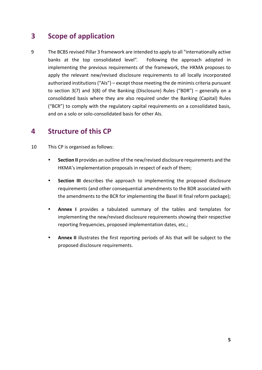# <span id="page-4-0"></span>**3 Scope of application**

9 The BCBS revised Pillar 3 framework are intended to apply to all "internationally active banks at the top consolidated level". Following the approach adopted in implementing the previous requirements of the framework, the HKMA proposes to apply the relevant new/revised disclosure requirements to all locally incorporated authorized institutions ("AIs") – except those meeting the de minimis criteria pursuant to section 3(7) and 3(8) of the Banking (Disclosure) Rules ("BDR") – generally on a consolidated basis where they are also required under the Banking (Capital) Rules ("BCR") to comply with the regulatory capital requirements on a consolidated basis, and on a solo or solo-consolidated basis for other AIs.

## <span id="page-4-1"></span>**4 Structure of this CP**

- 10 This CP is organised as follows:
	- **Section II** provides an outline of the new/revised disclosure requirements and the HKMA's implementation proposals in respect of each of them;
	- **Section III** describes the approach to implementing the proposed disclosure requirements (and other consequential amendments to the BDR associated with the amendments to the BCR for implementing the Basel III final reform package);
	- Annex I provides a tabulated summary of the tables and templates for implementing the new/revised disclosure requirements showing their respective reporting frequencies, proposed implementation dates, etc.;
	- **Annex II** illustrates the first reporting periods of AIs that will be subject to the proposed disclosure requirements.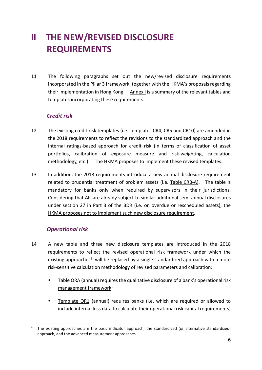# <span id="page-5-0"></span>**II THE NEW/REVISED DISCLOSURE REQUIREMENTS**

11 The following paragraphs set out the new/revised disclosure requirements incorporated in the Pillar 3 framework, together with the HKMA's proposals regarding their implementation in Hong Kong.  $A$ nnex I is a summary of the relevant tables and templates incorporating these requirements.

#### *Credit risk*

- 12 The existing credit risk templates (i.e. Templates CR4, CR5 and CR10) are amended in the 2018 requirements to reflect the revisions to the standardized approach and the internal ratings-based approach for credit risk (in terms of classification of asset portfolios, calibration of exposure measure and risk-weighting, calculation methodology, etc.). The HKMA proposes to implement these revised templates.
- 13 In addition, the 2018 requirements introduce a new annual disclosure requirement related to prudential treatment of problem assets (i.e. Table CRB-A). The table is mandatory for banks only when required by supervisors in their jurisdictions. Considering that AIs are already subject to similar additional semi-annual disclosures under section 27 in Part 3 of the BDR (i.e. on overdue or rescheduled assets), the HKMA proposes not to implement such new disclosure requirement.

### *Operational risk*

- 14 A new table and three new disclosure templates are introduced in the 2018 requirements to reflect the revised operational risk framework under which the existing approaches<sup>8</sup> will be replaced by a single standardized approach with a more risk-sensitive calculation methodology of revised parameters and calibration:
	- Table ORA (annual) requires the qualitative disclosure of a bank's operational risk management framework;
	- Template OR1 (annual) requires banks (i.e. which are required or allowed to include internal loss data to calculate their operational risk capital requirements)

 $\overline{a}$ <sup>8</sup> The existing approaches are the basic indicator approach, the standardized (or alternative standardized) approach, and the advanced measurement approaches.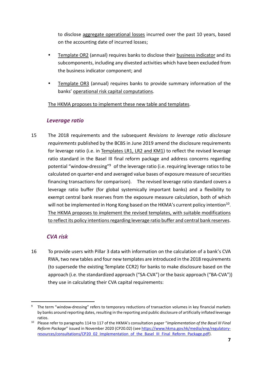to disclose aggregate operational losses incurred over the past 10 years, based on the accounting date of incurred losses;

- Template OR2 (annual) requires banks to disclose their business indicator and its subcomponents, including any divested activities which have been excluded from the business indicator component; and
- Template OR3 (annual) requires banks to provide summary information of the banks' operational risk capital computations.

The HKMA proposes to implement these new table and templates.

#### *Leverage ratio*

15 The 2018 requirements and the subsequent *Revisions to leverage ratio disclosure requirements* published by the BCBS in June 2019 amend the disclosure requirements for leverage ratio (i.e. in Templates LR1, LR2 and KM1) to reflect the revised leverage ratio standard in the Basel III final reform package and address concerns regarding potential "window-dressing"<sup>9</sup> of the leverage ratio (i.e. requiring leverage ratios to be calculated on quarter-end and averaged value bases of exposure measure of securities financing transactions for comparison). The revised leverage ratio standard covers a leverage ratio buffer (for global systemically important banks) and a flexibility to exempt central bank reserves from the exposure measure calculation, both of which will not be implemented in Hong Kong based on the HKMA's current policy intention<sup>10</sup>. The HKMA proposes to implement the revised templates, with suitable modifications to reflect its policy intentions regarding leverage ratio buffer and central bank reserves.

#### *CVA risk*

 $\overline{a}$ 

16 To provide users with Pillar 3 data with information on the calculation of a bank's CVA RWA, two new tables and four new templates are introduced in the 2018 requirements (to supersede the existing Template CCR2) for banks to make disclosure based on the approach (i.e. the standardized approach ("SA-CVA") or the basic approach ("BA-CVA")) they use in calculating their CVA capital requirements:

<sup>9</sup> The term "window-dressing" refers to temporary reductions of transaction volumes in key financial markets by banks around reporting dates, resulting in the reporting and public disclosure of artificially inflated leverage ratios.

<sup>10</sup> Please refer to paragraphs 114 to 117 of the HKMA's consultation paper "*Implementation of the Basel III Final Reform Package*" issued in November 2020 (CP20.02) (see [https://www.hkma.gov.hk/media/eng/regulatory](https://www.hkma.gov.hk/media/eng/regulatory-resources/consultations/CP20_02_Implementation_of_the_Basel_III_Final_Reform_Package.pdf)[resources/consultations/CP20\\_02\\_Implementation\\_of\\_the\\_Basel\\_III\\_Final\\_Reform\\_Package.pdf\)](https://www.hkma.gov.hk/media/eng/regulatory-resources/consultations/CP20_02_Implementation_of_the_Basel_III_Final_Reform_Package.pdf).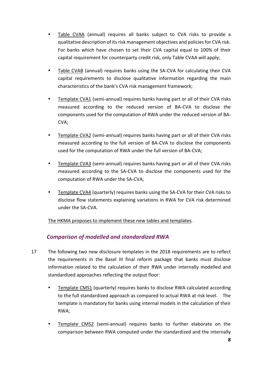- Table CVAA (annual) requires all banks subject to CVA risks to provide a qualitative description of its risk management objectives and policies for CVA risk. For banks which have chosen to set their CVA capital equal to 100% of their capital requirement for counterparty credit risk, only Table CVAA will apply;
- Table CVAB (annual) requires banks using the SA-CVA for calculating their CVA capital requirements to disclose qualitative information regarding the main characteristics of the bank's CVA risk management framework;
- Template CVA1 (semi-annual) requires banks having part or all of their CVA risks measured according to the reduced version of BA-CVA to disclose the components used for the computation of RWA under the reduced version of BA-CVA;
- Template CVA2 (semi-annual) requires banks having part or all of their CVA risks measured according to the full version of BA-CVA to disclose the components used for the computation of RWA under the full version of BA-CVA;
- Template CVA3 (semi-annual) requires banks having part or all of their CVA risks measured according to the SA-CVA to disclose the components used for the computation of RWA under the SA-CVA;
- Template CVA4 (quarterly) requires banks using the SA-CVA for their CVA risks to disclose flow statements explaining variations in RWA for CVA risk determined under the SA-CVA.

The HKMA proposes to implement these new tables and templates.

### *Comparison of modelled and standardized RWA*

- 17 The following two new disclosure templates in the 2018 requirements are to reflect the requirements in the Basel III final reform package that banks must disclose information related to the calculation of their RWA under internally modelled and standardized approaches reflecting the output floor:
	- Template CMS1 (quarterly) requires banks to disclose RWA calculated according to the full standardized approach as compared to actual RWA at risk level. The template is mandatory for banks using internal models in the calculation of their RWA;
	- Template CMS2 (semi-annual) requires banks to further elaborate on the comparison between RWA computed under the standardized and the internally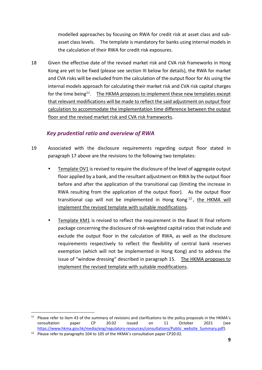modelled approaches by focusing on RWA for credit risk at asset class and subasset class levels. The template is mandatory for banks using internal models in the calculation of their RWA for credit risk exposures.

18 Given the effective date of the revised market risk and CVA risk frameworks in Hong Kong are yet to be fixed (please see section III below for details), the RWA for market and CVA risks will be excluded from the calculation of the output floor for AIs using the internal models approach for calculating their market risk and CVA risk capital charges for the time being<sup>11</sup>. The HKMA proposes to implement these new templates except that relevant modifications will be made to reflect the said adjustment on output floor calculation to accommodate the implementation time difference between the output floor and the revised market risk and CVA risk frameworks.

### *Key prudential ratio and overview of RWA*

- 19 Associated with the disclosure requirements regarding output floor stated in paragraph 17 above are the revisions to the following two templates:
	- Template OV1 is revised to require the disclosure of the level of aggregate output floor applied by a bank, and the resultant adjustment on RWA by the output floor before and after the application of the transitional cap (limiting the increase in RWA resulting from the application of the output floor). As the output floor transitional cap will not be implemented in Hong Kong<sup>12</sup>, the HKMA will implement the revised template with suitable modifications.
	- Template KM1 is revised to reflect the requirement in the Basel III final reform package concerning the disclosure of risk-weighted capital ratiosthat include and exclude the output floor in the calculation of RWA, as well as the disclosure requirements respectively to reflect the flexibility of central bank reserves exemption (which will not be implemented in Hong Kong) and to address the issue of "window dressing" described in paragraph 15. The HKMA proposes to implement the revised template with suitable modifications.

 $\overline{a}$ 

<sup>&</sup>lt;sup>11</sup> Please refer to item 43 of the summary of revisions and clarifications to the policy proposals in the HKMA's consultation paper CP 20.02 issued on 11 October 2021 (see [https://www.hkma.gov.hk/media/eng/regulatory-resources/consultations/Public\\_website\\_Summary.pdf\)](https://www.hkma.gov.hk/media/eng/regulatory-resources/consultations/Public_website_Summary.pdf).

<sup>&</sup>lt;sup>12</sup> Please refer to paragraphs 104 to 105 of the HKMA's consultation paper CP20.02.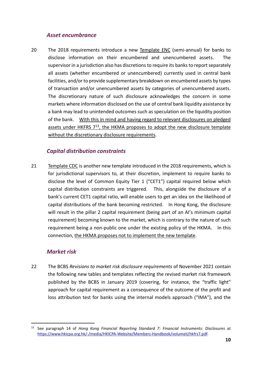#### *Asset encumbrance*

20 The 2018 requirements introduce a new Template ENC (semi-annual) for banks to disclose information on their encumbered and unencumbered assets. The supervisor in a jurisdiction also has discretions to require its banks to report separately all assets (whether encumbered or unencumbered) currently used in central bank facilities, and/or to provide supplementary breakdown on encumbered assets by types of transaction and/or unencumbered assets by categories of unencumbered assets. The discretionary nature of such disclosure acknowledges the concern in some markets where information disclosed on the use of central bank liquidity assistance by a bank may lead to unintended outcomes such as speculation on the liquidity position of the bank. With this in mind and having regard to relevant disclosures on pledged assets under HKFRS 7<sup>13</sup>, the HKMA proposes to adopt the new disclosure template without the discretionary disclosure requirements.

#### *Capital distribution constraints*

21 Template CDC is another new template introduced in the 2018 requirements, which is for jurisdictional supervisors to, at their discretion, implement to require banks to disclose the level of Common Equity Tier 1 ("CET1") capital required below which capital distribution constraints are triggered. This, alongside the disclosure of a bank's current CET1 capital ratio, will enable users to get an idea on the likelihood of capital distributions of the bank becoming restricted. In Hong Kong, the disclosure will result in the pillar 2 capital requirement (being part of an AI's minimum capital requirement) becoming known to the market, which is contrary to the nature of such requirement being a non-public one under the existing policy of the HKMA. In this connection, the HKMA proposes not to implement the new template.

#### *Market risk*

 $\overline{a}$ 

22 The BCBS *Revisions to market risk disclosure requirements* of November 2021 contain the following new tables and templates reflecting the revised market risk framework published by the BCBS in January 2019 (covering, for instance, the "traffic light" approach for capital requirement as a consequence of the outcome of the profit and loss attribution test for banks using the internal models approach ("IMA"), and the

<sup>13</sup> See paragraph 14 of *Hong Kong Financial Reporting Standard 7: Financial Instruments: Disclosures* at [https://www.hkicpa.org.hk/-/media/HKICPA-Website/Members-Handbook/volumeII/hkfrs7.pdf.](https://www.hkicpa.org.hk/-/media/HKICPA-Website/Members-Handbook/volumeII/hkfrs7.pdf)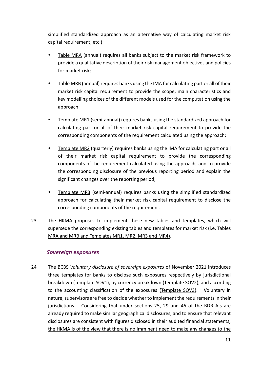simplified standardized approach as an alternative way of calculating market risk capital requirement, etc.):

- Table MRA (annual) requires all banks subject to the market risk framework to provide a qualitative description of their risk management objectives and policies for market risk;
- Table MRB (annual) requires banks using the IMA for calculating part or all of their market risk capital requirement to provide the scope, main characteristics and key modelling choices of the different models used for the computation using the approach;
- Template MR1 (semi-annual) requires banks using the standardized approach for calculating part or all of their market risk capital requirement to provide the corresponding components of the requirement calculated using the approach;
- Template MR2 (quarterly) requires banks using the IMA for calculating part or all of their market risk capital requirement to provide the corresponding components of the requirement calculated using the approach, and to provide the corresponding disclosure of the previous reporting period and explain the significant changes over the reporting period;
- Template MR3 (semi-annual) requires banks using the simplified standardized approach for calculating their market risk capital requirement to disclose the corresponding components of the requirement.
- 23 The HKMA proposes to implement these new tables and templates, which will supersede the corresponding existing tables and templates for market risk (i.e. Tables MRA and MRB and Templates MR1, MR2, MR3 and MR4).

#### *Sovereign exposures*

24 The BCBS *Voluntary disclosure of sovereign exposures* of November 2021 introduces three templates for banks to disclose such exposures respectively by jurisdictional breakdown (Template SOV1), by currency breakdown (Template SOV2), and according to the accounting classification of the exposures (Template SOV3). Voluntary in nature, supervisors are free to decide whether to implement the requirements in their jurisdictions. Considering that under sections 25, 29 and 46 of the BDR AIs are already required to make similar geographical disclosures, and to ensure that relevant disclosures are consistent with figures disclosed in their audited financial statements, the HKMA is of the view that there is no imminent need to make any changes to the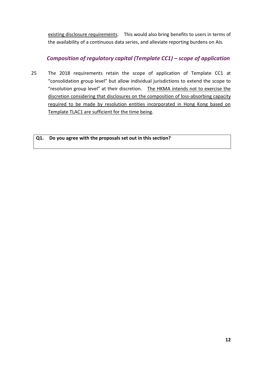existing disclosure requirements. This would also bring benefits to users in terms of the availability of a continuous data series, and alleviate reporting burdens on AIs.

### *Composition of regulatory capital (Template CC1) – scope of application*

25 The 2018 requirements retain the scope of application of Template CC1 at "consolidation group level" but allow individual jurisdictions to extend the scope to "resolution group level" at their discretion. The HKMA intends not to exercise the discretion considering that disclosures on the composition of loss-absorbing capacity required to be made by resolution entities incorporated in Hong Kong based on Template TLAC1 are sufficient for the time being.

#### **Q1. Do you agree with the proposals set out in this section?**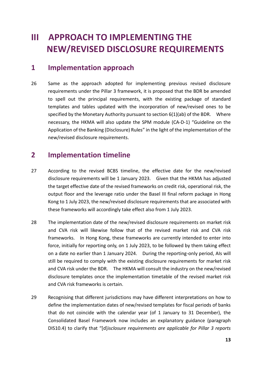# <span id="page-12-0"></span>**III APPROACH TO IMPLEMENTING THE NEW/REVISED DISCLOSURE REQUIREMENTS**

### <span id="page-12-1"></span>**1 Implementation approach**

26 Same as the approach adopted for implementing previous revised disclosure requirements under the Pillar 3 framework, it is proposed that the BDR be amended to spell out the principal requirements, with the existing package of standard templates and tables updated with the incorporation of new/revised ones to be specified by the Monetary Authority pursuant to section 6(1)(ab) of the BDR. Where necessary, the HKMA will also update the SPM module (CA-D-1) "Guideline on the Application of the Banking (Disclosure) Rules" in the light of the implementation of the new/revised disclosure requirements.

### <span id="page-12-2"></span>**2 Implementation timeline**

- 27 According to the revised BCBS timeline, the effective date for the new/revised disclosure requirements will be 1 January 2023. Given that the HKMA has adjusted the target effective date of the revised frameworks on credit risk, operational risk, the output floor and the leverage ratio under the Basel III final reform package in Hong Kong to 1 July 2023, the new/revised disclosure requirements that are associated with these frameworks will accordingly take effect also from 1 July 2023.
- 28 The implementation date of the new/revised disclosure requirements on market risk and CVA risk will likewise follow that of the revised market risk and CVA risk frameworks. In Hong Kong, these frameworks are currently intended to enter into force, initially for reporting only, on 1 July 2023, to be followed by them taking effect on a date no earlier than 1 January 2024. During the reporting-only period, AIs will still be required to comply with the existing disclosure requirements for market risk and CVA risk under the BDR. The HKMA will consult the industry on the new/revised disclosure templates once the implementation timetable of the revised market risk and CVA risk frameworks is certain.
- 29 Recognising that different jurisdictions may have different interpretations on how to define the implementation dates of new/revised templates for fiscal periods of banks that do not coincide with the calendar year (of 1 January to 31 December), the Consolidated Basel Framework now includes an explanatory guidance (paragraph DIS10.4) to clarify that "[d]*isclosure requirements are applicable for Pillar 3 reports*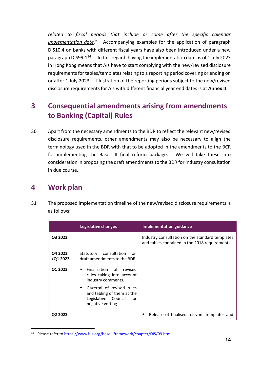related to **fiscal periods that include or come** after the specific calendar *implementation date.*" Accompanying examples for the application of paragraph DIS10.4 on banks with different fiscal years have also been introduced under a new paragraph DIS99.1<sup>14</sup>. In this regard, having the implementation date as of 1 July 2023 in Hong Kong means that AIs have to start complying with the new/revised disclosure requirements for tables/templates relating to a reporting period covering or ending on or after 1 July 2023. Illustration of the reporting periods subject to the new/revised disclosure requirements for AIs with different financial year end dates is at **Annex II**.

# <span id="page-13-0"></span>**3 Consequential amendments arising from amendments to Banking (Capital) Rules**

30 Apart from the necessary amendments to the BDR to reflect the relevant new/revised disclosure requirements, other amendments may also be necessary to align the terminology used in the BDR with that to be adopted in the amendments to the BCR for implementing the Basel III final reform package. We will take these into consideration in proposing the draft amendments to the BDR for industry consultation in due course.

## <span id="page-13-1"></span>**4 Work plan**

 $\overline{a}$ 

31 The proposed implementation timeline of the new/revised disclosure requirements is as follows:

|                     | Legislative changes                                                                                        | <b>Implementation guidance</b>                                                                    |
|---------------------|------------------------------------------------------------------------------------------------------------|---------------------------------------------------------------------------------------------------|
| Q3 2022             |                                                                                                            | Industry consultation on the standard templates<br>and tables contained in the 2018 requirements. |
| Q4 2022<br>/Q1 2023 | Statutory consultation<br>nn<br>draft amendments to the BDR.                                               |                                                                                                   |
| Q1 2023             | Finalisation of revised<br>٠<br>rules taking into account<br>industry comments.                            |                                                                                                   |
|                     | Gazettal of revised rules<br>and tabling of them at the<br>Legislative Council<br>for<br>negative vetting. |                                                                                                   |
| Q2 2023             |                                                                                                            | Release of finalised relevant templates and                                                       |

<sup>&</sup>lt;sup>14</sup> Please refer to [https://www.bis.org/basel\\_framework/chapter/DIS/99.htm.](https://www.bis.org/basel_framework/chapter/DIS/99.htm)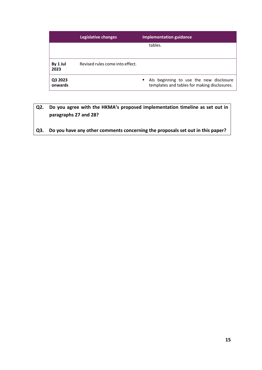|                    | Legislative changes             |           | <b>Implementation guidance</b>                                                          |
|--------------------|---------------------------------|-----------|-----------------------------------------------------------------------------------------|
|                    |                                 |           | tables.                                                                                 |
|                    |                                 |           |                                                                                         |
| By 1 Jul<br>2023   | Revised rules come into effect. |           |                                                                                         |
| Q3 2023<br>onwards |                                 | $\bullet$ | Als beginning to use the new disclosure<br>templates and tables for making disclosures. |

### **Q2. Do you agree with the HKMA's proposed implementation timeline as set out in paragraphs 27 and 28?**

**Q3. Do you have any other comments concerning the proposals set out in this paper?**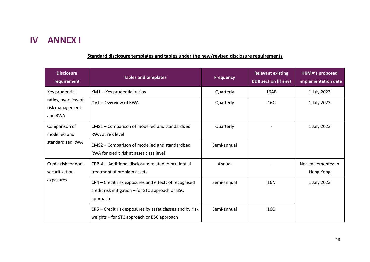# **IV ANNEX I**

### **Standard disclosure templates and tables under the new/revised disclosure requirements**

<span id="page-15-0"></span>

| <b>Disclosure</b><br>requirement                  | <b>Tables and templates</b>                                                                                           | <b>Frequency</b> | <b>Relevant existing</b><br><b>BDR</b> section (if any) | <b>HKMA's proposed</b><br>implementation date |
|---------------------------------------------------|-----------------------------------------------------------------------------------------------------------------------|------------------|---------------------------------------------------------|-----------------------------------------------|
| Key prudential                                    | KM1 - Key prudential ratios                                                                                           | Quarterly        | 16AB                                                    | 1 July 2023                                   |
| ratios, overview of<br>risk management<br>and RWA | OV1 - Overview of RWA                                                                                                 | Quarterly        | 16C                                                     | 1 July 2023                                   |
| Comparison of<br>modelled and                     | CMS1 - Comparison of modelled and standardized<br>RWA at risk level                                                   | Quarterly        |                                                         | 1 July 2023                                   |
| standardized RWA                                  | CMS2 - Comparison of modelled and standardized<br>RWA for credit risk at asset class level                            | Semi-annual      |                                                         |                                               |
| Credit risk for non-<br>securitization            | CRB-A - Additional disclosure related to prudential<br>treatment of problem assets                                    | Annual           |                                                         | Not implemented in<br>Hong Kong               |
| exposures                                         | CR4 - Credit risk exposures and effects of recognised<br>credit risk mitigation - for STC approach or BSC<br>approach | Semi-annual      | 16N                                                     | 1 July 2023                                   |
|                                                   | CR5 – Credit risk exposures by asset classes and by risk<br>weights – for STC approach or BSC approach                | Semi-annual      | 160                                                     |                                               |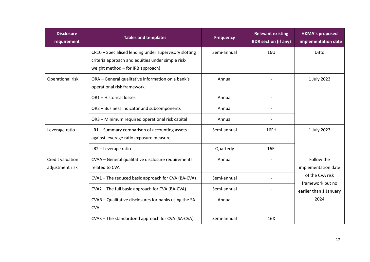| <b>Disclosure</b><br>requirement    | <b>Tables and templates</b>                                                                                                                     | <b>Frequency</b> | <b>Relevant existing</b><br><b>BDR</b> section (if any) | <b>HKMA's proposed</b><br>implementation date                                                              |
|-------------------------------------|-------------------------------------------------------------------------------------------------------------------------------------------------|------------------|---------------------------------------------------------|------------------------------------------------------------------------------------------------------------|
|                                     | CR10 - Specialised lending under supervisory slotting<br>criteria approach and equities under simple risk-<br>weight method - for IRB approach) | Semi-annual      | 16U                                                     | Ditto                                                                                                      |
| Operational risk                    | ORA - General qualitative information on a bank's<br>operational risk framework                                                                 | Annual           |                                                         | 1 July 2023                                                                                                |
|                                     | OR1 - Historical losses                                                                                                                         | Annual           |                                                         |                                                                                                            |
|                                     | OR2 - Business indicator and subcomponents                                                                                                      | Annual           |                                                         |                                                                                                            |
|                                     | OR3 - Minimum required operational risk capital                                                                                                 | Annual           |                                                         |                                                                                                            |
| Leverage ratio                      | LR1 - Summary comparison of accounting assets<br>against leverage ratio exposure measure                                                        | Semi-annual      | 16FH                                                    | 1 July 2023                                                                                                |
|                                     | LR2 - Leverage ratio                                                                                                                            | Quarterly        | <b>16FI</b>                                             |                                                                                                            |
| Credit valuation<br>adjustment risk | CVAA - General qualitative disclosure requirements<br>related to CVA                                                                            | Annual           |                                                         | Follow the<br>implementation date<br>of the CVA risk<br>framework but no<br>earlier than 1 January<br>2024 |
|                                     | CVA1 - The reduced basic approach for CVA (BA-CVA)                                                                                              | Semi-annual      |                                                         |                                                                                                            |
|                                     | CVA2 - The full basic approach for CVA (BA-CVA)                                                                                                 | Semi-annual      |                                                         |                                                                                                            |
|                                     | CVAB - Qualitative disclosures for banks using the SA-<br><b>CVA</b>                                                                            | Annual           |                                                         |                                                                                                            |
|                                     | CVA3 - The standardized approach for CVA (SA-CVA)                                                                                               | Semi-annual      | 16X                                                     |                                                                                                            |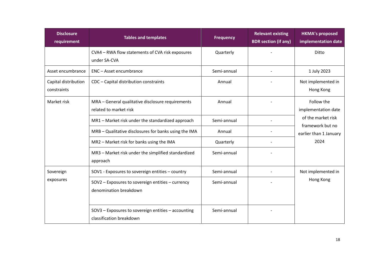| <b>Disclosure</b><br>requirement    | <b>Tables and templates</b>                                                     | <b>Frequency</b> | <b>Relevant existing</b><br><b>BDR</b> section (if any) | <b>HKMA's proposed</b><br>implementation date                                                                 |
|-------------------------------------|---------------------------------------------------------------------------------|------------------|---------------------------------------------------------|---------------------------------------------------------------------------------------------------------------|
|                                     | CVA4 - RWA flow statements of CVA risk exposures<br>under SA-CVA                | Quarterly        |                                                         | Ditto                                                                                                         |
| Asset encumbrance                   | ENC - Asset encumbrance                                                         | Semi-annual      | $\overline{\phantom{a}}$                                | 1 July 2023                                                                                                   |
| Capital distribution<br>constraints | CDC - Capital distribution constraints                                          | Annual           |                                                         | Not implemented in<br>Hong Kong                                                                               |
| Market risk                         | MRA - General qualitative disclosure requirements<br>related to market risk     | Annual           |                                                         | Follow the<br>implementation date<br>of the market risk<br>framework but no<br>earlier than 1 January<br>2024 |
|                                     | MR1 - Market risk under the standardized approach                               | Semi-annual      |                                                         |                                                                                                               |
|                                     | MRB - Qualitative disclosures for banks using the IMA                           | Annual           |                                                         |                                                                                                               |
|                                     | MR2 - Market risk for banks using the IMA                                       | Quarterly        |                                                         |                                                                                                               |
|                                     | MR3 - Market risk under the simplified standardized<br>approach                 | Semi-annual      |                                                         |                                                                                                               |
| Sovereign                           | SOV1 - Exposures to sovereign entities - country                                | Semi-annual      |                                                         | Not implemented in<br>Hong Kong                                                                               |
| exposures                           | SOV2 - Exposures to sovereign entities - currency<br>denomination breakdown     | Semi-annual      |                                                         |                                                                                                               |
|                                     | SOV3 - Exposures to sovereign entities - accounting<br>classification breakdown | Semi-annual      |                                                         |                                                                                                               |